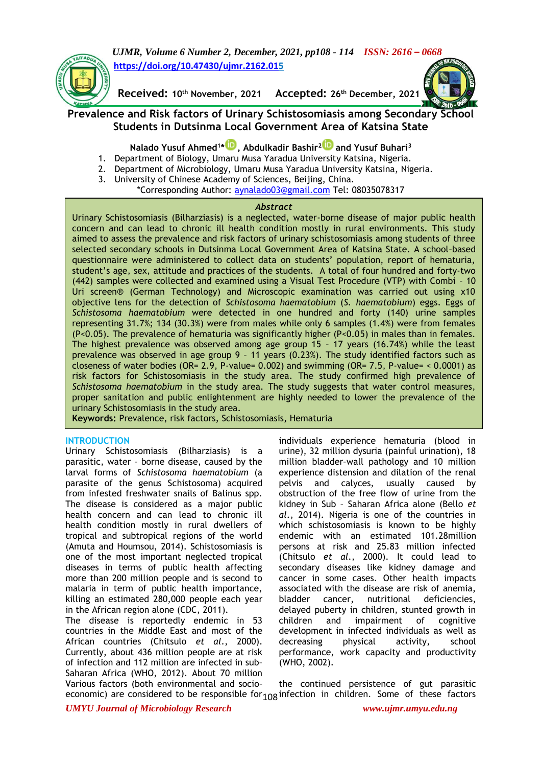*UJMR, Volume 6 Number 2, December, 2021, pp108 - 114 ISSN: 2616 – 0668* **[https://doi.org/10.47430/ujmr.2162.015](https://doi.org/10.47430/ujmr.2162.01)**



**Received: 10th November, 2021 Accepted: 26th December, 2021**

# **Prevalence and Risk factors of Urinary Schistosomiasis among Secondary School Students in Dutsinma Local Government Area of Katsina State**

**Nalado Yusuf Ahmed<sup>1</sup> \* [,](https://orcid.org/0000-0002-6731-0789) Abdulkadir Bashir[2](https://orcid.org/0000-0001-8616-6615) and Yusuf Buhari<sup>3</sup>**

- 1. Department of Biology, Umaru Musa Yaradua University Katsina, Nigeria.
- 2. Department of Microbiology, Umaru Musa Yaradua University Katsina, Nigeria.
- 3. University of Chinese Academy of Sciences, Beijing, China.
	- \*Corresponding Author: aynalado03@gmail.com Tel: 08035078317

## *Abstract*

Urinary Schistosomiasis (Bilharziasis) is a neglected, water-borne disease of major public health concern and can lead to chronic ill health condition mostly in rural environments. This study aimed to assess the prevalence and risk factors of urinary schistosomiasis among students of three selected secondary schools in Dutsinma Local Government Area of Katsina State. A school–based questionnaire were administered to collect data on students' population, report of hematuria, student's age, sex, attitude and practices of the students. A total of four hundred and forty-two (442) samples were collected and examined using a Visual Test Procedure (VTP) with Combi – 10 Uri screen® (German Technology) and Microscopic examination was carried out using x10 objective lens for the detection of *Schistosoma haematobium* (*S. haematobium*) eggs. Eggs of *Schistosoma haematobium* were detected in one hundred and forty (140) urine samples representing 31.7%; 134 (30.3%) were from males while only 6 samples (1.4%) were from females (P<0.05). The prevalence of hematuria was significantly higher (P<0.05) in males than in females. The highest prevalence was observed among age group 15 – 17 years (16.74%) while the least prevalence was observed in age group 9 – 11 years (0.23%). The study identified factors such as closeness of water bodies (OR= 2.9, P-value= 0.002) and swimming (OR= 7.5, P-value= < 0.0001) as risk factors for Schistosomiasis in the study area. The study confirmed high prevalence of *Schistosoma haematobium* in the study area. The study suggests that water control measures, proper sanitation and public enlightenment are highly needed to lower the prevalence of the urinary Schistosomiasis in the study area.

**Keywords:** Prevalence, risk factors, Schistosomiasis, Hematuria

## **INTRODUCTION**

Urinary Schistosomiasis (Bilharziasis) is a parasitic, water – borne disease, caused by the larval forms of *Schistosoma haematobium* (a parasite of the genus Schistosoma) acquired from infested freshwater snails of Balinus spp. The disease is considered as a major public health concern and can lead to chronic ill health condition mostly in rural dwellers of tropical and subtropical regions of the world (Amuta and Houmsou, 2014). Schistosomiasis is one of the most important neglected tropical diseases in terms of public health affecting more than 200 million people and is second to malaria in term of public health importance, killing an estimated 280,000 people each year in the African region alone (CDC, 2011).

The disease is reportedly endemic in 53 countries in the Middle East and most of the African countries (Chitsulo *et al*., 2000). Currently, about 436 million people are at risk of infection and 112 million are infected in sub– Saharan Africa (WHO, 2012). About 70 million Various factors (both environmental and socio–

individuals experience hematuria (blood in urine), 32 million dysuria (painful urination), 18 million bladder–wall pathology and 10 million experience distension and dilation of the renal pelvis and calyces, usually caused by obstruction of the free flow of urine from the kidney in Sub – Saharan Africa alone (Bello *et al*., 2014). Nigeria is one of the countries in which schistosomiasis is known to be highly endemic with an estimated 101.28million persons at risk and 25.83 million infected (Chitsulo *et al*., 2000). It could lead to secondary diseases like kidney damage and cancer in some cases. Other health impacts associated with the disease are risk of anemia, bladder cancer, nutritional deficiencies, delayed puberty in children, stunted growth in children and impairment of cognitive development in infected individuals as well as decreasing physical activity, school performance, work capacity and productivity (WHO, 2002).

economic) are considered to be responsible for <sub>108</sub> infection in children. Some of these factors the continued persistence of gut parasitic

*UMYU Journal of Microbiology Research www.ujmr.umyu.edu.ng*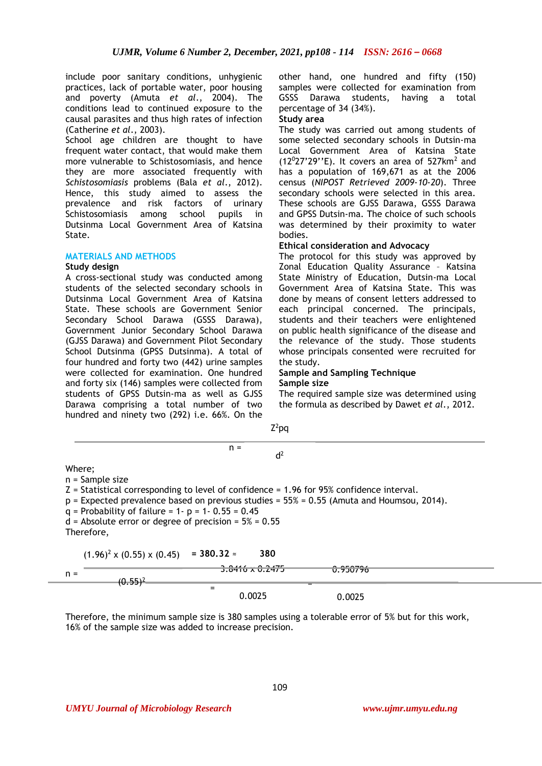include poor sanitary conditions, unhygienic practices, lack of portable water, poor housing and poverty (Amuta *et al*., 2004). The conditions lead to continued exposure to the causal parasites and thus high rates of infection (Catherine *et al*., 2003).

School age children are thought to have frequent water contact, that would make them more vulnerable to Schistosomiasis, and hence they are more associated frequently with *Schistosomiasis* problems (Bala *et al*., 2012). Hence, this study aimed to assess the prevalence and risk factors of urinary Schistosomiasis among school pupils in Dutsinma Local Government Area of Katsina State.

## **MATERIALS AND METHODS**

#### **Study design**

A cross-sectional study was conducted among students of the selected secondary schools in Dutsinma Local Government Area of Katsina State. These schools are Government Senior Secondary School Darawa (GSSS Darawa), Government Junior Secondary School Darawa (GJSS Darawa) and Government Pilot Secondary School Dutsinma (GPSS Dutsinma). A total of four hundred and forty two (442) urine samples were collected for examination. One hundred and forty six (146) samples were collected from students of GPSS Dutsin-ma as well as GJSS Darawa comprising a total number of two hundred and ninety two (292) i.e. 66%. On the

other hand, one hundred and fifty (150) samples were collected for examination from GSSS Darawa students, having a total percentage of 34 (34%).

## **Study area**

The study was carried out among students of some selected secondary schools in Dutsin-ma Local Government Area of Katsina State  $(12^{0}27'29''E)$ . It covers an area of 527km<sup>2</sup> and has a population of 169,671 as at the 2006 census (*NIPOST Retrieved 2009-10-20*). Three secondary schools were selected in this area. These schools are GJSS Darawa, GSSS Darawa and GPSS Dutsin-ma. The choice of such schools was determined by their proximity to water bodies.

## **Ethical consideration and Advocacy**

The protocol for this study was approved by Zonal Education Quality Assurance – Katsina State Ministry of Education, Dutsin-ma Local Government Area of Katsina State. This was done by means of consent letters addressed to each principal concerned. The principals, students and their teachers were enlightened on public health significance of the disease and the relevance of the study. Those students whose principals consented were recruited for the study.

#### **Sample and Sampling Technique Sample size**

The required sample size was determined using the formula as described by Dawet *et al*., 2012.

|                                                                                            | $Z^2$ pq                      |                                                                                                |  |
|--------------------------------------------------------------------------------------------|-------------------------------|------------------------------------------------------------------------------------------------|--|
|                                                                                            | $n =$<br>d <sup>2</sup>       |                                                                                                |  |
| Where;                                                                                     |                               |                                                                                                |  |
| $n =$ Sample size                                                                          |                               |                                                                                                |  |
| $Z =$ Statistical corresponding to level of confidence = 1.96 for 95% confidence interval. |                               | $p =$ Expected prevalence based on previous studies = $55\% = 0.55$ (Amuta and Houmsou, 2014). |  |
| $q =$ Probability of failure = 1- p = 1- 0.55 = 0.45                                       |                               |                                                                                                |  |
| $d =$ Absolute error or degree of precision = $5\% = 0.55$                                 |                               |                                                                                                |  |
| Therefore,                                                                                 |                               |                                                                                                |  |
| $(1.96)^2$ x $(0.55)$ x $(0.45)$                                                           | $= 380.32 =$<br>380           |                                                                                                |  |
|                                                                                            | 221<br><b>J.0410 A U.247J</b> | <b>U.YJU/YD</b>                                                                                |  |
| $n =$<br>$(0.55)^2$                                                                        |                               |                                                                                                |  |
|                                                                                            | $=$<br>0.0025                 | 0.0025                                                                                         |  |

Therefore, the minimum sample size is 380 samples using a tolerable error of 5% but for this work, 16% of the sample size was added to increase precision.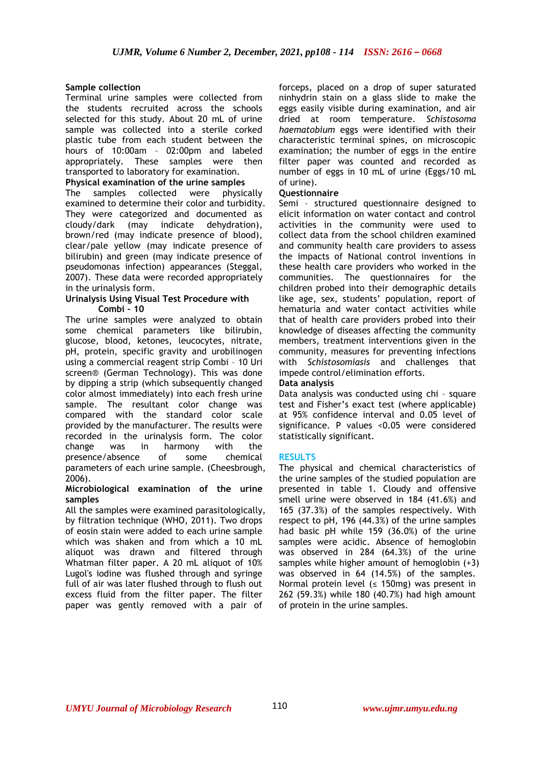## **Sample collection**

Terminal urine samples were collected from the students recruited across the schools selected for this study. About 20 mL of urine sample was collected into a sterile corked plastic tube from each student between the hours of 10:00am - 02:00pm and labeled appropriately. These samples were then transported to laboratory for examination.

## **Physical examination of the urine samples**

The samples collected were physically examined to determine their color and turbidity. They were categorized and documented as cloudy/dark (may indicate dehydration), brown/red (may indicate presence of blood), clear/pale yellow (may indicate presence of bilirubin) and green (may indicate presence of pseudomonas infection) appearances (Steggal, 2007). These data were recorded appropriately in the urinalysis form.

#### **Urinalysis Using Visual Test Procedure with Combi – 10**

The urine samples were analyzed to obtain some chemical parameters like bilirubin, glucose, blood, ketones, leucocytes, nitrate, pH, protein, specific gravity and urobilinogen using a commercial reagent strip Combi – 10 Uri screen® (German Technology). This was done by dipping a strip (which subsequently changed color almost immediately) into each fresh urine sample. The resultant color change was compared with the standard color scale provided by the manufacturer. The results were recorded in the urinalysis form. The color change was in harmony with the presence/absence of some chemical parameters of each urine sample. (Cheesbrough, 2006).

#### **Microbiological examination of the urine samples**

All the samples were examined parasitologically, by filtration technique (WHO, 2011). Two drops of eosin stain were added to each urine sample which was shaken and from which a 10 mL aliquot was drawn and filtered through Whatman filter paper. A 20 mL aliquot of 10% Lugol's iodine was flushed through and syringe full of air was later flushed through to flush out excess fluid from the filter paper. The filter paper was gently removed with a pair of

forceps, placed on a drop of super saturated ninhydrin stain on a glass slide to make the eggs easily visible during examination, and air dried at room temperature. *Schistosoma haematobium* eggs were identified with their characteristic terminal spines, on microscopic examination; the number of eggs in the entire filter paper was counted and recorded as number of eggs in 10 mL of urine (Eggs/10 mL of urine).

## **Questionnaire**

Semi – structured questionnaire designed to elicit information on water contact and control activities in the community were used to collect data from the school children examined and community health care providers to assess the impacts of National control inventions in these health care providers who worked in the communities. The questionnaires for the children probed into their demographic details like age, sex, students' population, report of hematuria and water contact activities while that of health care providers probed into their knowledge of diseases affecting the community members, treatment interventions given in the community, measures for preventing infections with *Schistosomiasis* and challenges that impede control/elimination efforts.

## **Data analysis**

Data analysis was conducted using chi – square test and Fisher's exact test (where applicable) at 95% confidence interval and 0.05 level of significance. P values <0.05 were considered statistically significant.

## **RESULTS**

The physical and chemical characteristics of the urine samples of the studied population are presented in table 1. Cloudy and offensive smell urine were observed in 184 (41.6%) and 165 (37.3%) of the samples respectively. With respect to pH, 196 (44.3%) of the urine samples had basic pH while 159 (36.0%) of the urine samples were acidic. Absence of hemoglobin was observed in 284 (64.3%) of the urine samples while higher amount of hemoglobin (+3) was observed in 64 (14.5%) of the samples. Normal protein level ( $\leq$  150mg) was present in 262 (59.3%) while 180 (40.7%) had high amount of protein in the urine samples.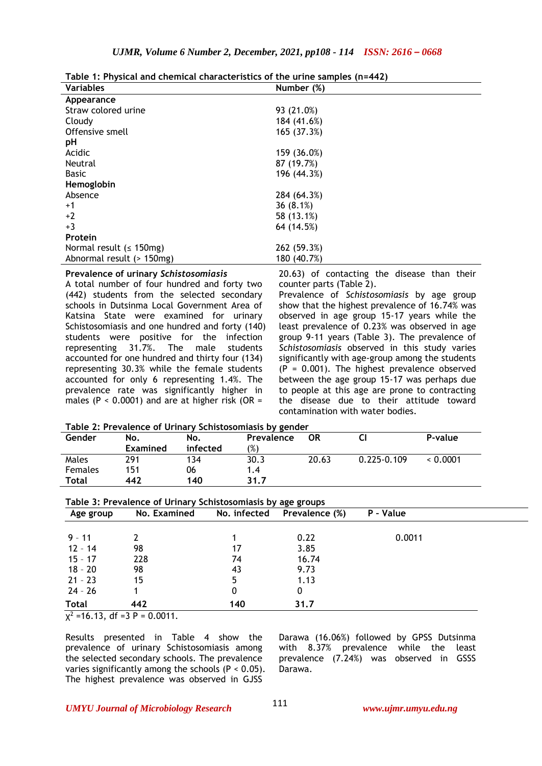**Table 1: Physical and chemical characteristics of the urine samples (n=442)**

| <b>Variables</b>              | Number (%)  |
|-------------------------------|-------------|
| Appearance                    |             |
| Straw colored urine           | 93 (21.0%)  |
| Cloudy                        | 184 (41.6%) |
| Offensive smell               | 165 (37.3%) |
| pH                            |             |
| Acidic                        | 159 (36.0%) |
| Neutral                       | 87 (19.7%)  |
| <b>Basic</b>                  | 196 (44.3%) |
| Hemoglobin                    |             |
| Absence                       | 284 (64.3%) |
| $+1$                          | 36(8.1%)    |
| $+2$                          | 58 (13.1%)  |
| $+3$                          | 64 (14.5%)  |
| Protein                       |             |
| Normal result ( $\leq$ 150mg) | 262 (59.3%) |
| Abnormal result (> 150mg)     | 180 (40.7%) |

#### **Prevalence of urinary** *Schistosomiasis*

A total number of four hundred and forty two (442) students from the selected secondary schools in Dutsinma Local Government Area of Katsina State were examined for urinary Schistosomiasis and one hundred and forty (140) students were positive for the infection representing 31.7%. The male students accounted for one hundred and thirty four (134) representing 30.3% while the female students accounted for only 6 representing 1.4%. The prevalence rate was significantly higher in males (P <  $0.0001$ ) and are at higher risk (OR =

20.63) of contacting the disease than their counter parts (Table 2).

Prevalence of *Schistosomiasis* by age group show that the highest prevalence of 16.74% was observed in age group 15-17 years while the least prevalence of 0.23% was observed in age group 9-11 years (Table 3). The prevalence of *Schistosomiasis* observed in this study varies significantly with age-group among the students  $(P = 0.001)$ . The highest prevalence observed between the age group 15-17 was perhaps due to people at this age are prone to contracting the disease due to their attitude toward contamination with water bodies.

**Table 2: Prevalence of Urinary Schistosomiasis by gender**

| Gender         | No.      | No.      | Prevalence | OR    |                 | P-value  |
|----------------|----------|----------|------------|-------|-----------------|----------|
|                | Examined | infected | $(\%)$     |       |                 |          |
| Males          | 291      | 134      | 30.3       | 20.63 | $0.225 - 0.109$ | < 0.0001 |
| <b>Females</b> | 151      | 06       | 1.4        |       |                 |          |
| Total          | 442      | 140      | 31.7       |       |                 |          |

|              | Table 3: Prevalence of Urinary Schistosomiasis by age groups |              |                |           |  |
|--------------|--------------------------------------------------------------|--------------|----------------|-----------|--|
| Age group    | No. Examined                                                 | No. infected | Prevalence (%) | P - Value |  |
|              |                                                              |              |                |           |  |
| $9 - 11$     |                                                              |              | 0.22           | 0.0011    |  |
| $12 - 14$    | 98                                                           | 17           | 3.85           |           |  |
| $15 - 17$    | 228                                                          | 74           | 16.74          |           |  |
| $18 - 20$    | 98                                                           | 43           | 9.73           |           |  |
| $21 - 23$    | 15                                                           | 5            | 1.13           |           |  |
| $24 - 26$    |                                                              | 0            | 0              |           |  |
| <b>Total</b> | 442                                                          | 140          | 31.7           |           |  |

 $\chi^2$  =16.13, df =3 P = 0.0011.

Results presented in Table 4 show the prevalence of urinary Schistosomiasis among the selected secondary schools. The prevalence varies significantly among the schools  $(P < 0.05)$ . The highest prevalence was observed in GJSS

Darawa (16.06%) followed by GPSS Dutsinma with 8.37% prevalence while the least prevalence (7.24%) was observed in GSSS Darawa.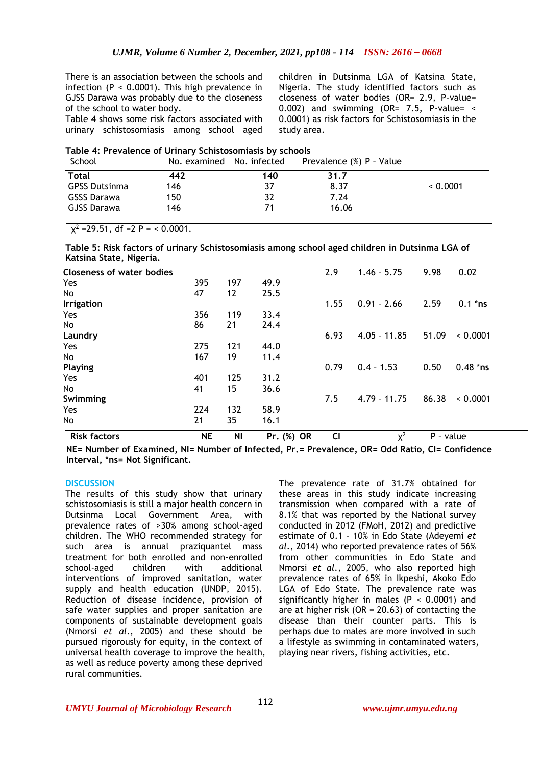There is an association between the schools and infection ( $P < 0.0001$ ). This high prevalence in GJSS Darawa was probably due to the closeness of the school to water body.

Table 4 shows some risk factors associated with urinary schistosomiasis among school aged

children in Dutsinma LGA of Katsina State, Nigeria. The study identified factors such as closeness of water bodies (OR= 2.9, P-value= 0.002) and swimming (OR=  $7.5$ , P-value= < 0.0001) as risk factors for Schistosomiasis in the study area.

|  | Table 4: Prevalence of Urinary Schistosomiasis by schools |
|--|-----------------------------------------------------------|
|--|-----------------------------------------------------------|

| School               | No. examined | No. infected | Prevalence (%) P - Value |          |
|----------------------|--------------|--------------|--------------------------|----------|
| <b>Total</b>         | 442          | 140          | 31.7                     |          |
| <b>GPSS Dutsinma</b> | 146          | 37           | 8.37                     | < 0.0001 |
| GSSS Darawa          | 150          | 32           | 7.24                     |          |
| GJSS Darawa          | 146          |              | 16.06                    |          |

 $\chi^2$  =29.51, df =2 P = < 0.0001.

**Table 5: Risk factors of urinary Schistosomiasis among school aged children in Dutsinma LGA of Katsina State, Nigeria.** 

| <b>Risk factors</b>              | <b>NE</b> | <b>NI</b> | Pr. (%) OR | C <sub>1</sub> | $X^2$          | P - value |            |
|----------------------------------|-----------|-----------|------------|----------------|----------------|-----------|------------|
| No                               | 21        | 35        | 16.1       |                |                |           |            |
| Yes                              | 224       | 132       | 58.9       |                |                |           |            |
| Swimming                         |           |           |            | 7.5            | $4.79 - 11.75$ | 86.38     | 0.0001     |
| No                               | 41        | 15        | 36.6       |                |                |           |            |
| Yes                              | 401       | 125       | 31.2       |                |                |           |            |
| <b>Playing</b>                   |           |           |            | 0.79           | $0.4 - 1.53$   | 0.50      | $0.48$ *ns |
| No                               | 167       | 19        | 11.4       |                |                |           |            |
| Yes                              | 275       | 121       | 44.0       |                |                |           |            |
| Laundry                          |           |           |            | 6.93           | $4.05 - 11.85$ | 51.09     | 0.0001     |
| No.                              | 86        | 21        | 24.4       |                |                |           |            |
| Yes                              | 356       | 119       | 33.4       |                |                |           |            |
| Irrigation                       |           |           |            | 1.55           | $0.91 - 2.66$  | 2.59      | $0.1$ *ns  |
| No                               | 47        | 12        | 25.5       |                |                |           |            |
| Yes                              | 395       | 197       | 49.9       |                |                |           |            |
| <b>Closeness of water bodies</b> |           |           |            | 2.9            | $1.46 - 5.75$  | 9.98      | 0.02       |

**NE= Number of Examined, NI= Number of Infected, Pr.= Prevalence, OR= Odd Ratio, CI= Confidence Interval,** \***ns= Not Significant.** 

## **DISCUSSION**

The results of this study show that urinary schistosomiasis is still a major health concern in Dutsinma Local Government Area, with prevalence rates of >30% among school-aged children. The WHO recommended strategy for such area is annual praziquantel mass treatment for both enrolled and non-enrolled school-aged children with additional interventions of improved sanitation, water supply and health education (UNDP, 2015). Reduction of disease incidence, provision of safe water supplies and proper sanitation are components of sustainable development goals (Nmorsi *et al*., 2005) and these should be pursued rigorously for equity, in the context of universal health coverage to improve the health, as well as reduce poverty among these deprived rural communities.

The prevalence rate of 31.7% obtained for these areas in this study indicate increasing transmission when compared with a rate of 8.1% that was reported by the National survey conducted in 2012 (FMoH, 2012) and predictive estimate of 0.1 - 10% in Edo State (Adeyemi *et al*., 2014) who reported prevalence rates of 56% from other communities in Edo State and Nmorsi *et al*., 2005, who also reported high prevalence rates of 65% in Ikpeshi, Akoko Edo LGA of Edo State. The prevalence rate was significantly higher in males ( $P < 0.0001$ ) and are at higher risk ( $OR = 20.63$ ) of contacting the disease than their counter parts. This is perhaps due to males are more involved in such a lifestyle as swimming in contaminated waters, playing near rivers, fishing activities, etc.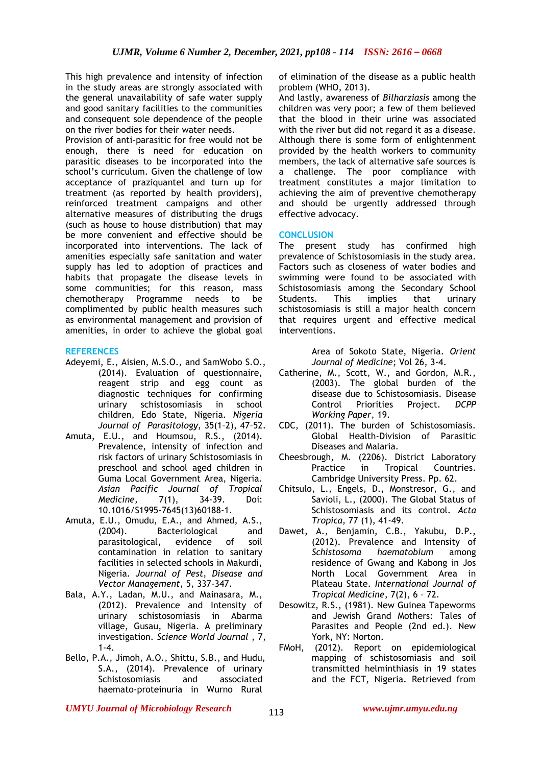This high prevalence and intensity of infection in the study areas are strongly associated with the general unavailability of safe water supply and good sanitary facilities to the communities and consequent sole dependence of the people on the river bodies for their water needs.

Provision of anti-parasitic for free would not be enough, there is need for education on parasitic diseases to be incorporated into the school's curriculum. Given the challenge of low acceptance of praziquantel and turn up for treatment (as reported by health providers), reinforced treatment campaigns and other alternative measures of distributing the drugs (such as house to house distribution) that may be more convenient and effective should be incorporated into interventions. The lack of amenities especially safe sanitation and water supply has led to adoption of practices and habits that propagate the disease levels in some communities; for this reason, mass chemotherapy Programme needs to be complimented by public health measures such as environmental management and provision of amenities, in order to achieve the global goal

## **REFERENCES**

- Adeyemi, E., Aisien, M.S.O., and SamWobo S.O., (2014). Evaluation of questionnaire, reagent strip and egg count as diagnostic techniques for confirming urinary schistosomiasis in school children, Edo State, Nigeria. *Nigeria Journal of Parasitology*, 35(1–2), 47–52.
- Amuta, E.U., and Houmsou, R.S., (2014). Prevalence, intensity of infection and risk factors of urinary Schistosomiasis in preschool and school aged children in Guma Local Government Area, Nigeria. *Asian Pacific Journal of Tropical Medicine,* 7(1), 34-39. Doi: 10.1016/S1995-7645(13)60188-1.
- Amuta, E.U., Omudu, E.A., and Ahmed, A.S., (2004). Bacteriological and parasitological, evidence of soil contamination in relation to sanitary facilities in selected schools in Makurdi, Nigeria. *Journal of Pest, Disease and Vector Management,* 5, 337-347.
- Bala, A.Y., Ladan, M.U., and Mainasara, M., (2012). Prevalence and Intensity of urinary schistosomiasis in Abarma village, Gusau, Nigeria. A preliminary investigation. *Science World Journal* , 7, 1-4.
- Bello, P.A., Jimoh, A.O., Shittu, S.B., and Hudu, S.A., (2014). Prevalence of urinary Schistosomiasis and associated haemato-proteinuria in Wurno Rural

of elimination of the disease as a public health problem (WHO, 2013).

And lastly, awareness of *Bilharziasis* among the children was very poor; a few of them believed that the blood in their urine was associated with the river but did not regard it as a disease. Although there is some form of enlightenment provided by the health workers to community members, the lack of alternative safe sources is a challenge. The poor compliance with treatment constitutes a major limitation to achieving the aim of preventive chemotherapy and should be urgently addressed through effective advocacy.

## **CONCLUSION**

The present study has confirmed high prevalence of Schistosomiasis in the study area. Factors such as closeness of water bodies and swimming were found to be associated with Schistosomiasis among the Secondary School Students. This implies that urinary schistosomiasis is still a major health concern that requires urgent and effective medical interventions.

> Area of Sokoto State, Nigeria. *Orient Journal of Medicine*; Vol 26, 3-4.

- Catherine, M., Scott, W., and Gordon, M.R., (2003). The global burden of the disease due to Schistosomiasis. Disease Control Priorities Project. *DCPP Working Paper*, 19.
- CDC, (2011). The burden of Schistosomiasis. Global Health-Division of Parasitic Diseases and Malaria.
- Cheesbrough, M. (2206). District Laboratory Practice in Tropical Countries. Cambridge University Press. Pp. 62.
- Chitsulo, L., Engels, D., Monstresor, G., and Savioli, L., (2000). The Global Status of Schistosomiasis and its control. *Acta Tropica,* 77 (1), 41-49.
- Dawet, A., Benjamin, C.B., Yakubu, D.P., (2012). Prevalence and Intensity of *Schistosoma haematobium* among residence of Gwang and Kabong in Jos North Local Government Area in Plateau State. *International Journal of Tropical Medicine*, 7(2), 6 – 72.
- Desowitz, R.S., (1981). New Guinea Tapeworms and Jewish Grand Mothers: Tales of Parasites and People (2nd ed.). New York, NY: Norton.
- FMoH, (2012). Report on epidemiological mapping of schistosomiasis and soil transmitted helminthiasis in 19 states and the FCT, Nigeria. Retrieved from